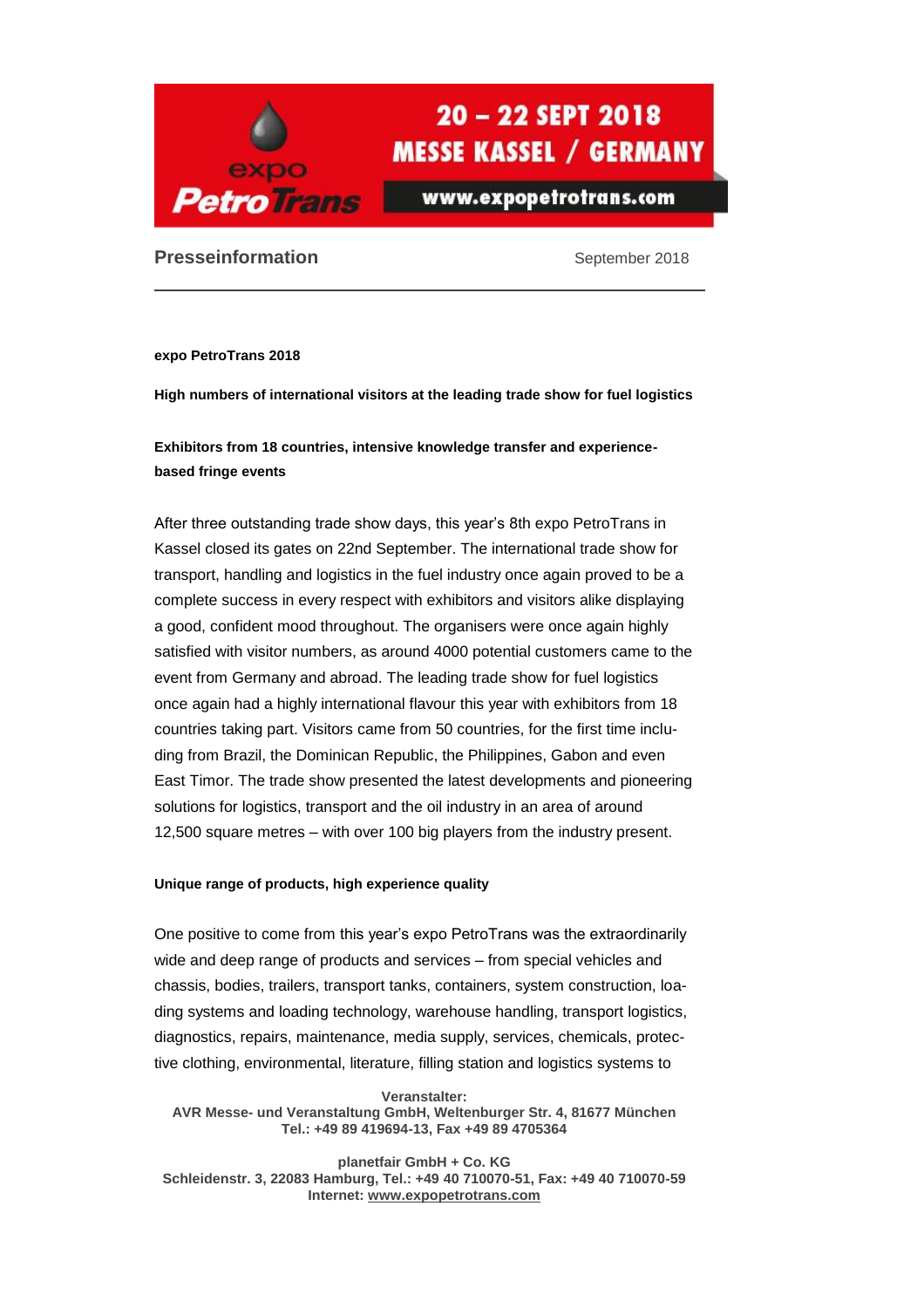

www.expopetrotrans.com

### **Presseinformation September 2018**

**expo PetroTrans 2018**

**High numbers of international visitors at the leading trade show for fuel logistics**

**Exhibitors from 18 countries, intensive knowledge transfer and experiencebased fringe events**

After three outstanding trade show days, this year's 8th expo PetroTrans in Kassel closed its gates on 22nd September. The international trade show for transport, handling and logistics in the fuel industry once again proved to be a complete success in every respect with exhibitors and visitors alike displaying a good, confident mood throughout. The organisers were once again highly satisfied with visitor numbers, as around 4000 potential customers came to the event from Germany and abroad. The leading trade show for fuel logistics once again had a highly international flavour this year with exhibitors from 18 countries taking part. Visitors came from 50 countries, for the first time including from Brazil, the Dominican Republic, the Philippines, Gabon and even East Timor. The trade show presented the latest developments and pioneering solutions for logistics, transport and the oil industry in an area of around 12,500 square metres – with over 100 big players from the industry present.

#### **Unique range of products, high experience quality**

One positive to come from this year's expo PetroTrans was the extraordinarily wide and deep range of products and services – from special vehicles and chassis, bodies, trailers, transport tanks, containers, system construction, loading systems and loading technology, warehouse handling, transport logistics, diagnostics, repairs, maintenance, media supply, services, chemicals, protective clothing, environmental, literature, filling station and logistics systems to

**Veranstalter: AVR Messe- und Veranstaltung GmbH, Weltenburger Str. 4, 81677 München Tel.: +49 89 419694-13, Fax +49 89 4705364**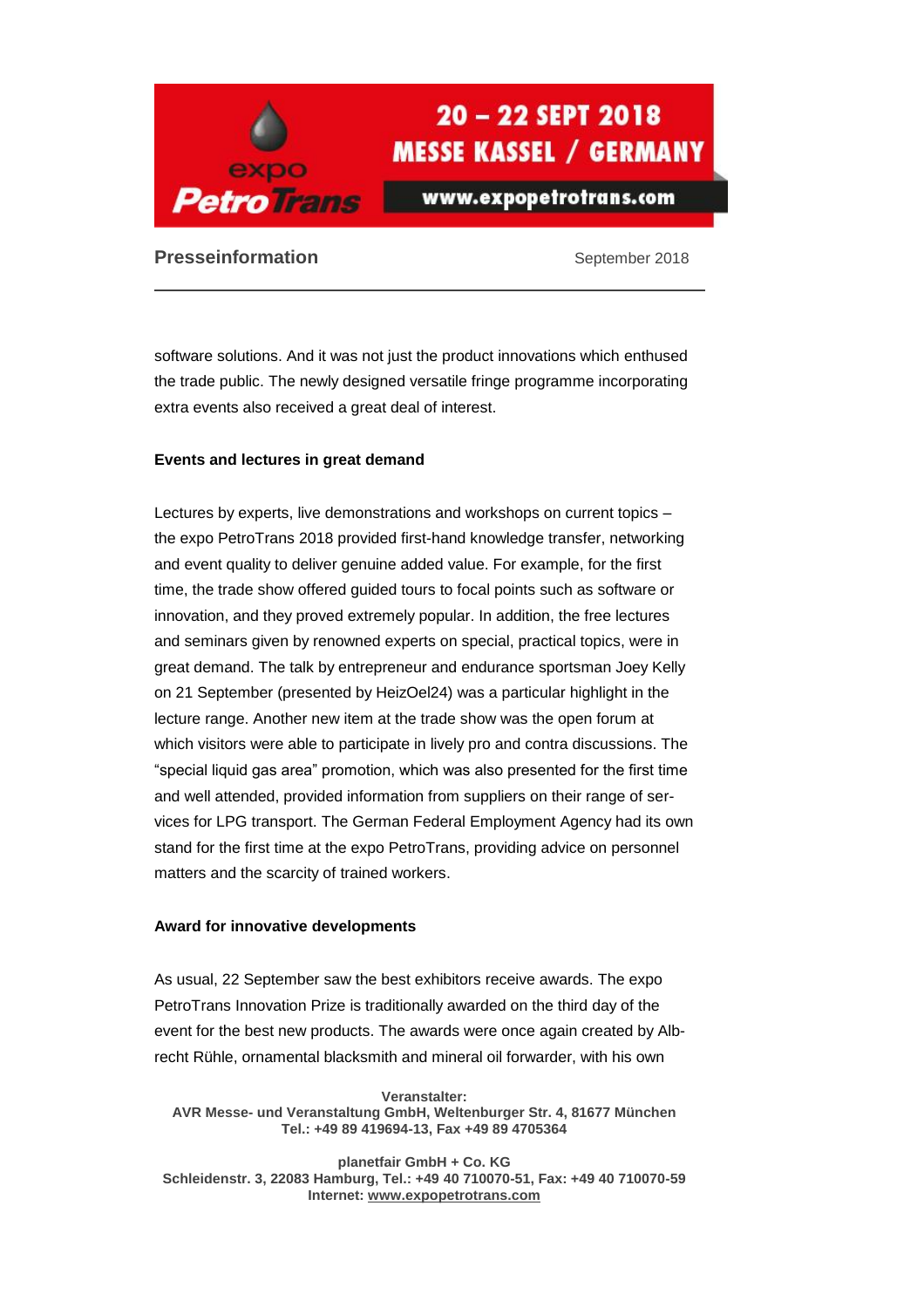

www.expopetrotrans.com

## **Presseinformation September 2018**

software solutions. And it was not just the product innovations which enthused the trade public. The newly designed versatile fringe programme incorporating extra events also received a great deal of interest.

#### **Events and lectures in great demand**

Lectures by experts, live demonstrations and workshops on current topics – the expo PetroTrans 2018 provided first-hand knowledge transfer, networking and event quality to deliver genuine added value. For example, for the first time, the trade show offered guided tours to focal points such as software or innovation, and they proved extremely popular. In addition, the free lectures and seminars given by renowned experts on special, practical topics, were in great demand. The talk by entrepreneur and endurance sportsman Joey Kelly on 21 September (presented by HeizOel24) was a particular highlight in the lecture range. Another new item at the trade show was the open forum at which visitors were able to participate in lively pro and contra discussions. The "special liquid gas area" promotion, which was also presented for the first time and well attended, provided information from suppliers on their range of services for LPG transport. The German Federal Employment Agency had its own stand for the first time at the expo PetroTrans, providing advice on personnel matters and the scarcity of trained workers.

#### **Award for innovative developments**

As usual, 22 September saw the best exhibitors receive awards. The expo PetroTrans Innovation Prize is traditionally awarded on the third day of the event for the best new products. The awards were once again created by Albrecht Rühle, ornamental blacksmith and mineral oil forwarder, with his own

**Veranstalter: AVR Messe- und Veranstaltung GmbH, Weltenburger Str. 4, 81677 München Tel.: +49 89 419694-13, Fax +49 89 4705364**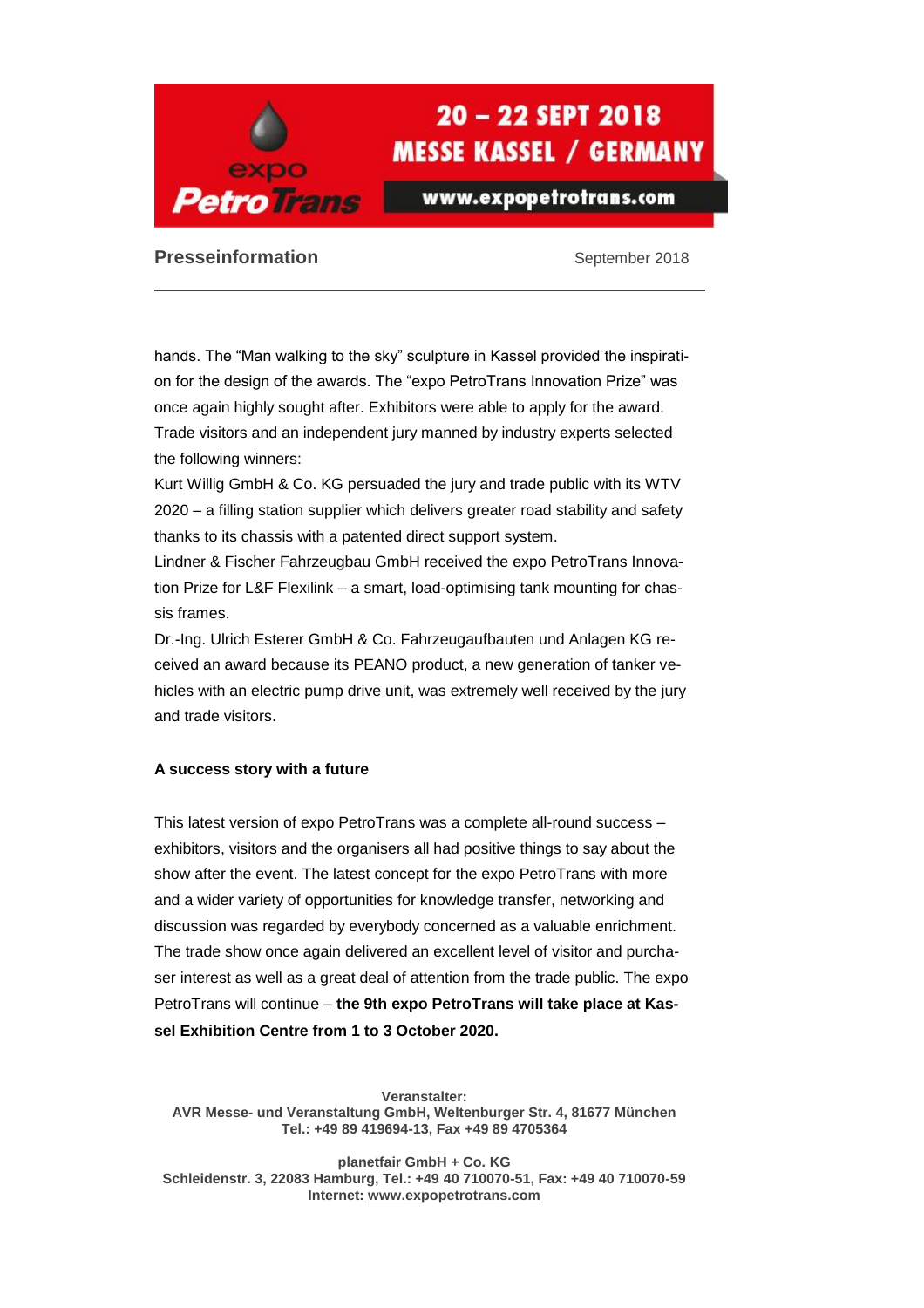

www.expopetrotrans.com

**Presseinformation September 2018** 

hands. The "Man walking to the sky" sculpture in Kassel provided the inspiration for the design of the awards. The "expo PetroTrans Innovation Prize" was once again highly sought after. Exhibitors were able to apply for the award. Trade visitors and an independent jury manned by industry experts selected the following winners:

Kurt Willig GmbH & Co. KG persuaded the jury and trade public with its WTV 2020 – a filling station supplier which delivers greater road stability and safety thanks to its chassis with a patented direct support system.

Lindner & Fischer Fahrzeugbau GmbH received the expo PetroTrans Innovation Prize for L&F Flexilink – a smart, load-optimising tank mounting for chassis frames.

Dr.-Ing. Ulrich Esterer GmbH & Co. Fahrzeugaufbauten und Anlagen KG received an award because its PEANO product, a new generation of tanker vehicles with an electric pump drive unit, was extremely well received by the jury and trade visitors.

#### **A success story with a future**

This latest version of expo PetroTrans was a complete all-round success – exhibitors, visitors and the organisers all had positive things to say about the show after the event. The latest concept for the expo PetroTrans with more and a wider variety of opportunities for knowledge transfer, networking and discussion was regarded by everybody concerned as a valuable enrichment. The trade show once again delivered an excellent level of visitor and purchaser interest as well as a great deal of attention from the trade public. The expo PetroTrans will continue – **the 9th expo PetroTrans will take place at Kassel Exhibition Centre from 1 to 3 October 2020.**

**Veranstalter: AVR Messe- und Veranstaltung GmbH, Weltenburger Str. 4, 81677 München Tel.: +49 89 419694-13, Fax +49 89 4705364**